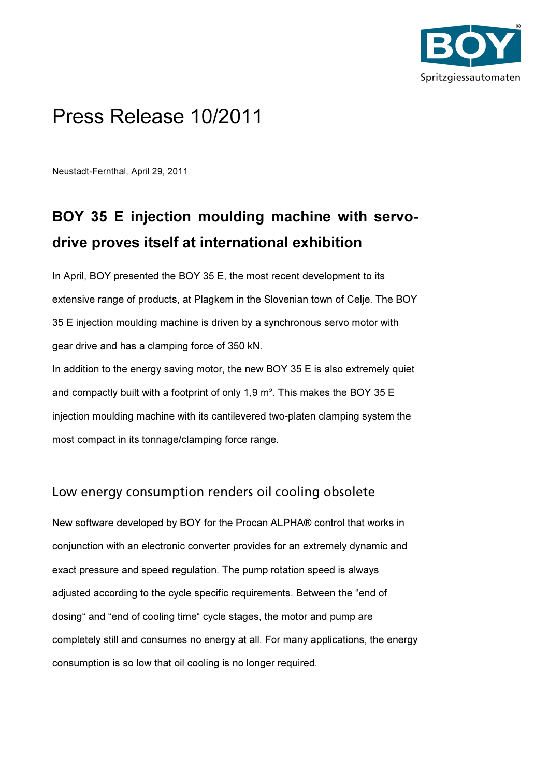

## Press Release 10/2011

Neustadt-Fernthal, April 29, 2011

## BOY 35 E injection moulding machine with servodrive proves itself at international exhibition

In April, BOY presented the BOY 35 E, the most recent development to its extensive range of products, at Plagkem in the Slovenian town of Celje. The BOY 35 E injection moulding machine is driven by a synchronous servo motor with gear drive and has a clamping force of 350 kN.

In addition to the energy saving motor, the new BOY  $35 \text{ E}$  is also extremely quiet and compactly built with a footprint of only 1,9 m². This makes the BOY 35 E injection moulding machine with its cantilevered two-platen clamping system the most compact in its tonnage/clamping force range.

## Low energy consumption renders oil cooling obsolete

New software developed by BOY for the Procan ALPHA® control that works in conjunction with an electronic converter provides for an extremely dynamic and exact pressure and speed regulation. The pump rotation speed is always adjusted according to the cycle specific requirements. Between the "end of dosing" and "end of cooling time" cycle stages, the motor and pump are completely still and consumes no energy at all. For many applications, the energy consumption is so low that oil cooling is no longer required.